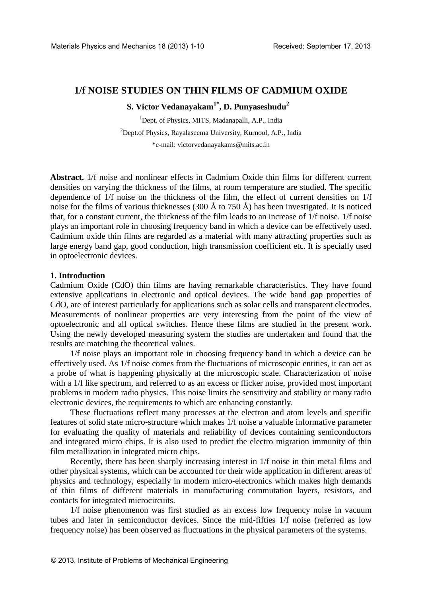## **1/f NOISE STUDIES ON THIN FILMS OF CADMIUM OXIDE**

**S. Victor Vedanayakam1\* , D. Punyaseshudu<sup>2</sup>**

<sup>1</sup>Dept. of Physics, MITS, Madanapalli, A.P., India <sup>2</sup>Dept.of Physics, Rayalaseema University, Kurnool, A.P., India \*e-mail: [victorvedanayakams@mits.ac.in](mailto:victorvedanayakams@mits.ac.in)

**Abstract.** 1/f noise and nonlinear effects in Cadmium Oxide thin films for different current densities on varying the thickness of the films, at room temperature are studied. The specific dependence of 1/f noise on the thickness of the film, the effect of current densities on 1/f noise for the films of various thicknesses (300 Å to 750 Å) has been investigated. It is noticed that, for a constant current, the thickness of the film leads to an increase of 1/f noise. 1/f noise plays an important role in choosing frequency band in which a device can be effectively used. Cadmium oxide thin films are regarded as a material with many attracting properties such as large energy band gap, good conduction, high transmission coefficient etc. It is specially used in optoelectronic devices.

## **1. Introduction**

Cadmium Oxide (CdO) thin films are having remarkable characteristics. They have found extensive applications in electronic and optical devices. The wide band gap properties of CdO, are of interest particularly for applications such as solar cells and transparent electrodes. Measurements of nonlinear properties are very interesting from the point of the view of optoelectronic and all optical switches. Hence these films are studied in the present work. Using the newly developed measuring system the studies are undertaken and found that the results are matching the theoretical values.

1/f noise plays an important role in choosing frequency band in which a device can be effectively used. As 1/f noise comes from the fluctuations of microscopic entities, it can act as a probe of what is happening physically at the microscopic scale. Characterization of noise with a 1/f like spectrum, and referred to as an excess or flicker noise, provided most important problems in modern radio physics. This noise limits the sensitivity and stability or many radio electronic devices, the requirements to which are enhancing constantly.

These fluctuations reflect many processes at the electron and atom levels and specific features of solid state micro-structure which makes 1/f noise a valuable informative parameter for evaluating the quality of materials and reliability of devices containing semiconductors and integrated micro chips. It is also used to predict the electro migration immunity of thin film metallization in integrated micro chips.

Recently, there has been sharply increasing interest in 1/f noise in thin metal films and other physical systems, which can be accounted for their wide application in different areas of physics and technology, especially in modern micro-electronics which makes high demands of thin films of different materials in manufacturing commutation layers, resistors, and contacts for integrated microcircuits.

1/f noise phenomenon was first studied as an excess low frequency noise in vacuum tubes and later in semiconductor devices. Since the mid-fifties 1/f noise (referred as low frequency noise) has been observed as fluctuations in the physical parameters of the systems.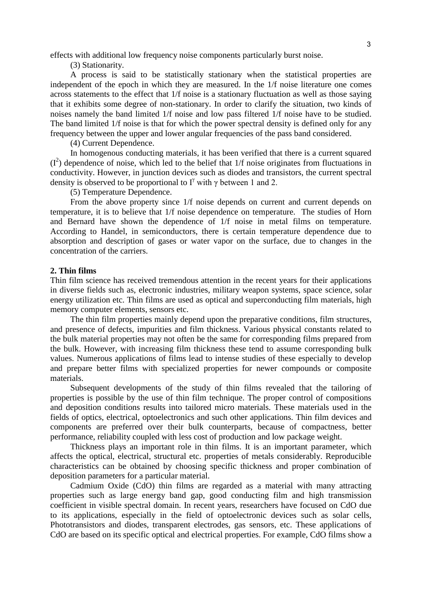effects with additional low frequency noise components particularly burst noise.

(3) Stationarity.

A process is said to be statistically stationary when the statistical properties are independent of the epoch in which they are measured. In the 1/f noise literature one comes across statements to the effect that 1/f noise is a stationary fluctuation as well as those saying that it exhibits some degree of non-stationary. In order to clarify the situation, two kinds of noises namely the band limited 1/f noise and low pass filtered 1/f noise have to be studied. The band limited 1/f noise is that for which the power spectral density is defined only for any frequency between the upper and lower angular frequencies of the pass band considered.

(4) Current Dependence.

In homogenous conducting materials, it has been verified that there is a current squared  $(I^2)$  dependence of noise, which led to the belief that 1/f noise originates from fluctuations in conductivity. However, in junction devices such as diodes and transistors, the current spectral density is observed to be proportional to I<sup>γ</sup> with  $\gamma$  between 1 and 2.

(5) Temperature Dependence.

From the above property since 1/f noise depends on current and current depends on temperature, it is to believe that 1/f noise dependence on temperature. The studies of Horn and Bernard have shown the dependence of 1/f noise in metal films on temperature. According to Handel, in semiconductors, there is certain temperature dependence due to absorption and description of gases or water vapor on the surface, due to changes in the concentration of the carriers.

#### **2. Thin films**

Thin film science has received tremendous attention in the recent years for their applications in diverse fields such as, electronic industries, military weapon systems, space science, solar energy utilization etc. Thin films are used as optical and superconducting film materials, high memory computer elements, sensors etc.

The thin film properties mainly depend upon the preparative conditions, film structures, and presence of defects, impurities and film thickness. Various physical constants related to the bulk material properties may not often be the same for corresponding films prepared from the bulk. However, with increasing film thickness these tend to assume corresponding bulk values. Numerous applications of films lead to intense studies of these especially to develop and prepare better films with specialized properties for newer compounds or composite materials.

Subsequent developments of the study of thin films revealed that the tailoring of properties is possible by the use of thin film technique. The proper control of compositions and deposition conditions results into tailored micro materials. These materials used in the fields of optics, electrical, optoelectronics and such other applications. Thin film devices and components are preferred over their bulk counterparts, because of compactness, better performance, reliability coupled with less cost of production and low package weight.

Thickness plays an important role in thin films. It is an important parameter, which affects the optical, electrical, structural etc. properties of metals considerably. Reproducible characteristics can be obtained by choosing specific thickness and proper combination of deposition parameters for a particular material.

Cadmium Oxide (CdO) thin films are regarded as a material with many attracting properties such as large energy band gap, good conducting film and high transmission coefficient in visible spectral domain. In recent years, researchers have focused on CdO due to its applications, especially in the field of optoelectronic devices such as solar cells, Phototransistors and diodes, transparent electrodes, gas sensors, etc. These applications of CdO are based on its specific optical and electrical properties. For example, CdO films show a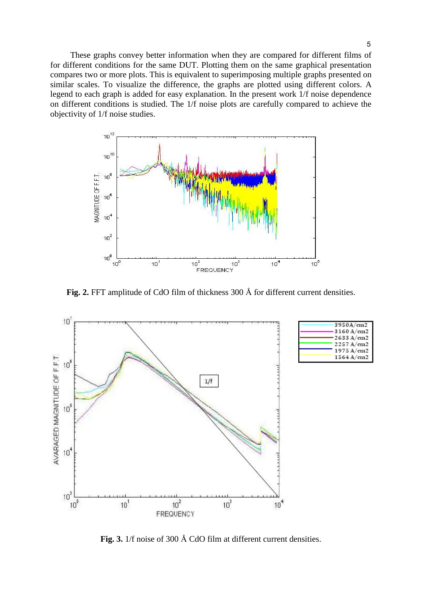These graphs convey better information when they are compared for different films of for different conditions for the same DUT. Plotting them on the same graphical presentation compares two or more plots. This is equivalent to superimposing multiple graphs presented on similar scales. To visualize the difference, the graphs are plotted using different colors. A legend to each graph is added for easy explanation. In the present work 1/f noise dependence on different conditions is studied. The 1/f noise plots are carefully compared to achieve the objectivity of 1/f noise studies.



**Fig. 2.** FFT amplitude of CdO film of thickness 300 Å for different current densities.



**Fig. 3.** 1/f noise of 300 Å CdO film at different current densities.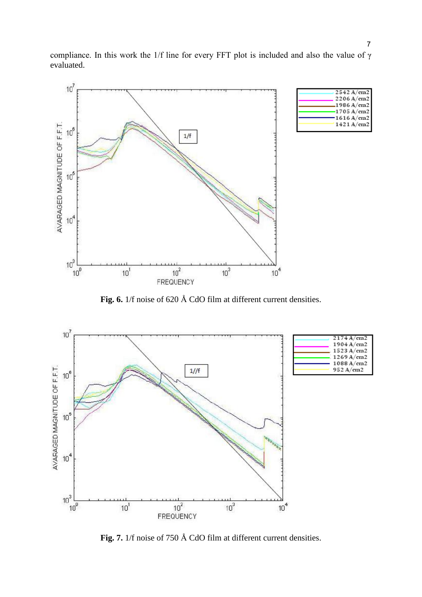compliance. In this work the 1/f line for every FFT plot is included and also the value of  $\gamma$ evaluated.



**Fig. 6.** 1/f noise of 620 Å CdO film at different current densities.



Fig. 7. 1/f noise of 750 Å CdO film at different current densities.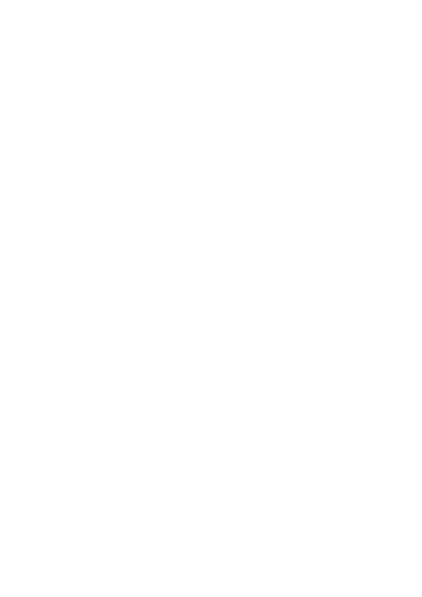# 1/f NOISE STUDIES ON THIN FILMS OF CADMIUM ONDE

S. Victor Vedanayakam<sup>1\*</sup>, D. Punyaseshudu<sup>2</sup>

<sup>1</sup>Dept. of Physics, MITS, Madanapalli, A.P., India

<sup>2</sup>Dept.of Physics, Rayalaseema University, Kurnool, A.P., India

\*e-mail: victorvedanayakams@mits.ac.in

Abstract 1/f noise and nonlinear effects in Cadmium Oxide thin films for different current densities on varving the thickness of the films, at room temperature are studied. The specific dependence of 1/f noise on the thickness of the film, the effect of current densities on 1/f noise for the films of various thicknesses (30tb 750Å) has been investigated. It is noticed that, for a constant current, the thickness of the film leads to an increase of 1/f noise. 1/f noise plays an important role in choosing frequency band in which a device can be effectively used. Cadmium oxide thin films are regarded as a material with many attracting properties such as large energy band gap, good conduction, high transmission coefficient etc. It is specially used in optoelectroniclevices.

### 1. Introduction

Cadmium Oxide (CdO) thin films are having remarkable characteristics. They have found extensive applications in electronic and optical devices. The wide band gap properties of CdO, are of interest particularly for applications such as solar cells and transparent electrodes. Measurements of nonlinear properties are very interesting from the point of the view of optoelectronic and all optical switches. Hence these films are studied in the present work. Using the newly developed measuring system the studies are undertaken and found that the results are matching the theoretical values.

1/f noise plays an important role in choosing frequency band in which a device can be effectively used. As 1/f noise comes from the fluctuations of microscopic entities, it can act as a probe of what is happening physically at the microscopic scale. Characterization of noise with a 1/f like spectrum, and referred to as an excess or flicker noise, provided most important problems in modern radio physics. This noise limits the sensitivity and stability or many radio electronic devices, the requirements to which are enhancing constantly.

These fluctuations reflect many processes at the electron and atom levels and specific features of solid state micro-sutture which makes 1/f noise a valuable informative parameter for evaluating the quality of materials and reliability of devices containing semiconductors and integrated micro chips. It is also used to predict the electro migration immunity of thin film metallization in integrated micro chips.

Recently, there has been sharply increasing interest in 1/f noise in thin metal films and other physical systems, which can be accounted for their wide application in different areas of physics and technology, especially in modern micro-electronics which makes high demands of thin films of different materials in manufacturing commutation layers, resistors, and contacts for integrated microcircuits.

1/f noise phenomenon was first studied as an excess low frequency noise in vacuum tubes and later in semiconductor devices. Since the mid-fifties 1/f noise (referred as low frequency noise) has been observed as fluctuations in the physical parameters of the systems.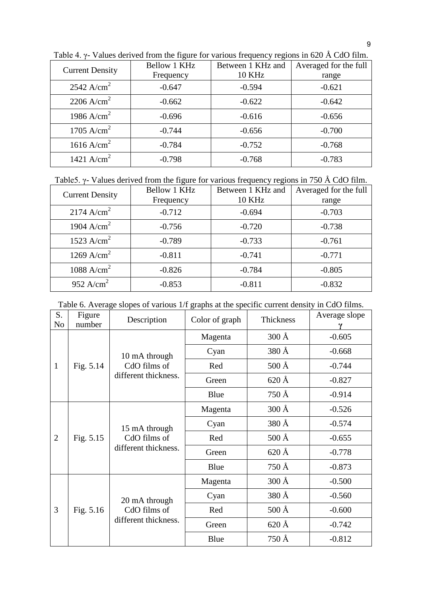| <b>Current Density</b> | Bellow 1 KHz | ັ<br>Between 1 KHz and | Averaged for the full |  |  |  |
|------------------------|--------------|------------------------|-----------------------|--|--|--|
|                        | Frequency    | <b>10 KHz</b>          | range                 |  |  |  |
| 2542 A/cm <sup>2</sup> | $-0.647$     | $-0.594$               | $-0.621$              |  |  |  |
| 2206 A/cm <sup>2</sup> | $-0.662$     | $-0.622$               | $-0.642$              |  |  |  |
| 1986 A/cm <sup>2</sup> | $-0.696$     | $-0.616$               | $-0.656$              |  |  |  |
| 1705 A/cm <sup>2</sup> | $-0.744$     | $-0.656$               | $-0.700$              |  |  |  |
| 1616 A/cm <sup>2</sup> | $-0.784$     | $-0.752$               | $-0.768$              |  |  |  |
| 1421 A/cm <sup>2</sup> | $-0.798$     | $-0.768$               | $-0.783$              |  |  |  |

Table 4. γ- Values derived from the figure for various frequency regions in 620 Å CdO film.

| Table 5. $\gamma$ - Values derived from the figure for various frequency regions in 750 Å CdO film. |  |  |  |  |  |  |  |  |
|-----------------------------------------------------------------------------------------------------|--|--|--|--|--|--|--|--|
|                                                                                                     |  |  |  |  |  |  |  |  |

| <b>Current Density</b> | Bellow 1 KHz | Between 1 KHz and | Averaged for the full |  |  |
|------------------------|--------------|-------------------|-----------------------|--|--|
|                        | Frequency    | <b>10 KHz</b>     | range                 |  |  |
| 2174 A/cm <sup>2</sup> | $-0.712$     | $-0.694$          | $-0.703$              |  |  |
| 1904 A/cm <sup>2</sup> | $-0.756$     | $-0.720$          | $-0.738$              |  |  |
| 1523 A/cm <sup>2</sup> | $-0.789$     | $-0.733$          | $-0.761$              |  |  |
| 1269 A/cm <sup>2</sup> | $-0.811$     | $-0.741$          | $-0.771$              |  |  |
| 1088 A/cm <sup>2</sup> | $-0.826$     | $-0.784$          | $-0.805$              |  |  |
| 952 A/cm <sup>2</sup>  | $-0.853$     | $-0.811$          | $-0.832$              |  |  |

| Table 6. Average slopes of various 1/f graphs at the specific current density in CdO films. |
|---------------------------------------------------------------------------------------------|
|---------------------------------------------------------------------------------------------|

| S.<br>N <sub>o</sub> | Figure<br>number | Description                                           | Color of graph | Thickness       | Average slope |
|----------------------|------------------|-------------------------------------------------------|----------------|-----------------|---------------|
| $\mathbf{1}$         | Fig. 5.14        |                                                       | Magenta        | $300 \text{ Å}$ | $-0.605$      |
|                      |                  | 10 mA through<br>CdO films of<br>different thickness. | Cyan           | 380Å            | $-0.668$      |
|                      |                  |                                                       | Red            | $500 \text{ Å}$ | $-0.744$      |
|                      |                  |                                                       | Green          | $620 \text{ Å}$ | $-0.827$      |
|                      |                  |                                                       | Blue           | 750Å            | $-0.914$      |
| $\overline{2}$       | Fig. $5.15$      |                                                       | Magenta        | $300 \text{ Å}$ | $-0.526$      |
|                      |                  | 15 mA through<br>CdO films of<br>different thickness. | Cyan           | 380Å            | $-0.574$      |
|                      |                  |                                                       | Red            | $500 \text{ Å}$ | $-0.655$      |
|                      |                  |                                                       | Green          | $620 \text{ Å}$ | $-0.778$      |
|                      |                  |                                                       | Blue           | 750 Å           | $-0.873$      |
| 3                    | Fig. $5.16$      |                                                       | Magenta        | $300 \text{ Å}$ | $-0.500$      |
|                      |                  | 20 mA through<br>CdO films of<br>different thickness. | Cyan           | 380Å            | $-0.560$      |
|                      |                  |                                                       | Red            | $500 \text{ Å}$ | $-0.600$      |
|                      |                  |                                                       | Green          | $620 \text{ Å}$ | $-0.742$      |
|                      |                  |                                                       | Blue           | 750Å            | $-0.812$      |